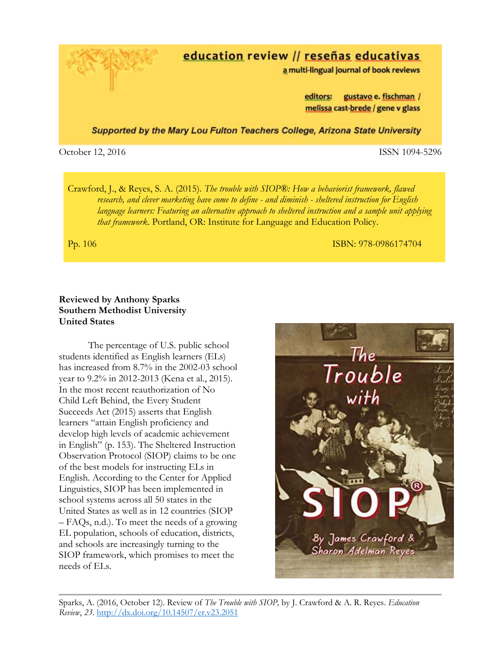education review // reseñas educativas

a multi-lingual journal of book reviews

gustavo e. fischman / editors: melissa cast-brede / gene v glass

Supported by the Mary Lou Fulton Teachers College, Arizona State University

October 12, 2016 ISSN 1094-5296

Crawford, J., & Reyes, S. A. (2015). *The trouble with SIOP®: How a behaviorist framework, flawed research, and clever marketing have come to define - and diminish - sheltered instruction for English language learners: Featuring an alternative approach to sheltered instruction and a sample unit applying that framework*. Portland, OR: Institute for Language and Education Policy.

Pp. 106 **ISBN: 978-0986174704** 

## **Reviewed by Anthony Sparks Southern Methodist University United States**

The percentage of U.S. public school students identified as English learners (ELs) has increased from 8.7% in the 2002-03 school year to 9.2% in 2012-2013 (Kena et al., 2015). In the most recent reauthorization of No Child Left Behind, the Every Student Succeeds Act (2015) asserts that English learners "attain English proficiency and develop high levels of academic achievement in English" (p. 153). The Sheltered Instruction Observation Protocol (SIOP) claims to be one of the best models for instructing ELs in English. According to the Center for Applied Linguistics, SIOP has been implemented in school systems across all 50 states in the United States as well as in 12 countries (SIOP – FAQs, n.d.). To meet the needs of a growing EL population, schools of education, districts, and schools are increasingly turning to the SIOP framework, which promises to meet the needs of ELs.

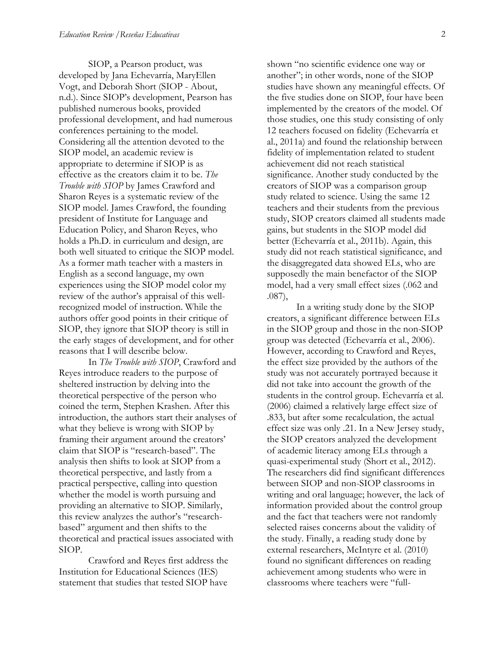SIOP, a Pearson product, was developed by Jana Echevarría, MaryEllen Vogt, and Deborah Short (SIOP - About, n.d.). Since SIOP's development, Pearson has published numerous books, provided professional development, and had numerous conferences pertaining to the model. Considering all the attention devoted to the SIOP model, an academic review is appropriate to determine if SIOP is as effective as the creators claim it to be. *The Trouble with SIOP* by James Crawford and Sharon Reyes is a systematic review of the SIOP model. James Crawford, the founding president of Institute for Language and Education Policy, and Sharon Reyes, who holds a Ph.D. in curriculum and design, are both well situated to critique the SIOP model. As a former math teacher with a masters in English as a second language, my own experiences using the SIOP model color my review of the author's appraisal of this wellrecognized model of instruction. While the authors offer good points in their critique of SIOP, they ignore that SIOP theory is still in the early stages of development, and for other reasons that I will describe below.

In *The Trouble with SIOP*, Crawford and Reyes introduce readers to the purpose of sheltered instruction by delving into the theoretical perspective of the person who coined the term, Stephen Krashen. After this introduction, the authors start their analyses of what they believe is wrong with SIOP by framing their argument around the creators' claim that SIOP is "research-based". The analysis then shifts to look at SIOP from a theoretical perspective, and lastly from a practical perspective, calling into question whether the model is worth pursuing and providing an alternative to SIOP. Similarly, this review analyzes the author's "researchbased" argument and then shifts to the theoretical and practical issues associated with SIOP.

Crawford and Reyes first address the Institution for Educational Sciences (IES) statement that studies that tested SIOP have

shown "no scientific evidence one way or another"; in other words, none of the SIOP studies have shown any meaningful effects. Of the five studies done on SIOP, four have been implemented by the creators of the model. Of those studies, one this study consisting of only 12 teachers focused on fidelity (Echevarría et al., 2011a) and found the relationship between fidelity of implementation related to student achievement did not reach statistical significance. Another study conducted by the creators of SIOP was a comparison group study related to science. Using the same 12 teachers and their students from the previous study, SIOP creators claimed all students made gains, but students in the SIOP model did better (Echevarría et al., 2011b). Again, this study did not reach statistical significance, and the disaggregated data showed ELs, who are supposedly the main benefactor of the SIOP model, had a very small effect sizes (.062 and .087),

In a writing study done by the SIOP creators, a significant difference between ELs in the SIOP group and those in the non-SIOP group was detected (Echevarría et al., 2006). However, according to Crawford and Reyes, the effect size provided by the authors of the study was not accurately portrayed because it did not take into account the growth of the students in the control group. Echevarría et al. (2006) claimed a relatively large effect size of .833, but after some recalculation, the actual effect size was only .21. In a New Jersey study, the SIOP creators analyzed the development of academic literacy among ELs through a quasi-experimental study (Short et al., 2012). The researchers did find significant differences between SIOP and non-SIOP classrooms in writing and oral language; however, the lack of information provided about the control group and the fact that teachers were not randomly selected raises concerns about the validity of the study. Finally, a reading study done by external researchers, McIntyre et al. (2010) found no significant differences on reading achievement among students who were in classrooms where teachers were "full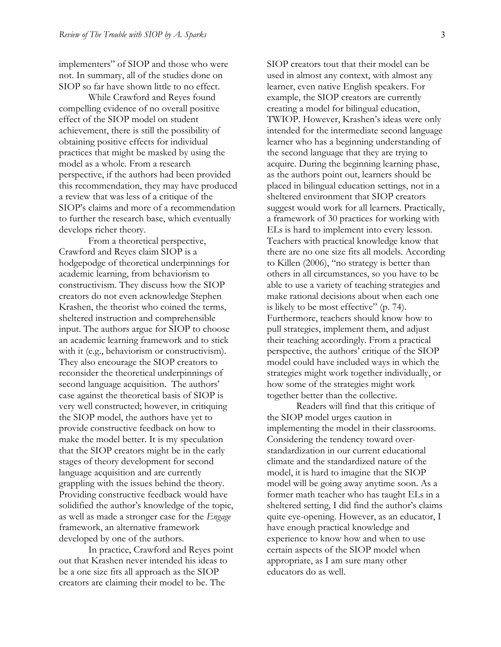implementers" of SIOP and those who were not. In summary, all of the studies done on SIOP so far have shown little to no effect.

While Crawford and Reyes found compelling evidence of no overall positive effect of the SIOP model on student achievement, there is still the possibility of obtaining positive effects for individual practices that might be masked by using the model as a whole. From a research perspective, if the authors had been provided this recommendation, they may have produced a review that was less of a critique of the SIOP's claims and more of a recommendation to further the research base, which eventually develops richer theory.

From a theoretical perspective, Crawford and Reyes claim SIOP is a hodgepodge of theoretical underpinnings for academic learning, from behaviorism to constructivism. They discuss how the SIOP creators do not even acknowledge Stephen Krashen, the theorist who coined the terms, sheltered instruction and comprehensible input. The authors argue for SIOP to choose an academic learning framework and to stick with it (e.g., behaviorism or constructivism). They also encourage the SIOP creators to reconsider the theoretical underpinnings of second language acquisition. The authors' case against the theoretical basis of SIOP is very well constructed; however, in critiquing the SIOP model, the authors have yet to provide constructive feedback on how to make the model better. It is my speculation that the SIOP creators might be in the early stages of theory development for second language acquisition and are currently grappling with the issues behind the theory. Providing constructive feedback would have solidified the author's knowledge of the topic, as well as made a stronger case for the *Engage* framework, an alternative framework developed by one of the authors.

In practice, Crawford and Reyes point out that Krashen never intended his ideas to be a one size fits all approach as the SIOP creators are claiming their model to be. The

SIOP creators tout that their model can be used in almost any context, with almost any learner, even native English speakers. For example, the SIOP creators are currently creating a model for bilingual education, TWIOP. However, Krashen's ideas were only intended for the intermediate second language learner who has a beginning understanding of the second language that they are trying to acquire. During the beginning learning phase, as the authors point out, learners should be placed in bilingual education settings, not in a sheltered environment that SIOP creators suggest would work for all learners. Practically, a framework of 30 practices for working with ELs is hard to implement into every lesson. Teachers with practical knowledge know that there are no one size fits all models. According to Killen (2006), "no strategy is better than others in all circumstances, so you have to be able to use a variety of teaching strategies and make rational decisions about when each one is likely to be most effective" (p. 74). Furthermore, teachers should know how to pull strategies, implement them, and adjust their teaching accordingly. From a practical perspective, the authors' critique of the SIOP model could have included ways in which the strategies might work together individually, or how some of the strategies might work together better than the collective.

Readers will find that this critique of the SIOP model urges caution in implementing the model in their classrooms. Considering the tendency toward overstandardization in our current educational climate and the standardized nature of the model, it is hard to imagine that the SIOP model will be going away anytime soon. As a former math teacher who has taught ELs in a sheltered setting, I did find the author's claims quite eye-opening. However, as an educator, I have enough practical knowledge and experience to know how and when to use certain aspects of the SIOP model when appropriate, as I am sure many other educators do as well.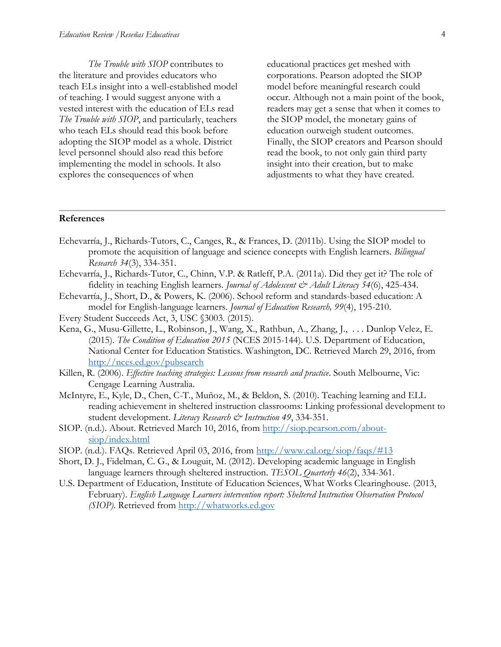*The Trouble with SIOP* contributes to the literature and provides educators who teach ELs insight into a well-established model of teaching. I would suggest anyone with a vested interest with the education of ELs read *The Trouble with SIOP*, and particularly, teachers who teach ELs should read this book before adopting the SIOP model as a whole. District level personnel should also read this before implementing the model in schools. It also explores the consequences of when

educational practices get meshed with corporations. Pearson adopted the SIOP model before meaningful research could occur. Although not a main point of the book, readers may get a sense that when it comes to the SIOP model, the monetary gains of education outweigh student outcomes. Finally, the SIOP creators and Pearson should read the book, to not only gain third party insight into their creation, but to make adjustments to what they have created.

## **References**

- Echevarría, J., Richards-Tutors, C., Canges, R., & Frances, D. (2011b). Using the SIOP model to promote the acquisition of language and science concepts with English learners. *Bilingual Research 34*(3), 334-351.
- Echevarría, J., Richards-Tutor, C., Chinn, V.P. & Ratleff, P.A. (2011a). Did they get it? The role of fidelity in teaching English learners. *Journal of Adolescent & Adult Literacy* 54(6), 425-434.
- Echevarría, J., Short, D., & Powers, K. (2006). School reform and standards-based education: A model for English-language learners. *Journal of Education Research, 99*(4), 195-210.
- Every Student Succeeds Act, 3, USC §3003. (2015).
- Kena, G., Musu-Gillette, L., Robinson, J., Wang, X., Rathbun, A., Zhang, J., . . . Dunlop Velez, E. (2015). *The Condition of Education 2015* (NCES 2015-144). U.S. Department of Education, National Center for Education Statistics. Washington, DC. Retrieved March 29, 2016, from <http://nces.ed.gov/pubsearch>
- Killen, R. (2006). *Effective teaching strategies: Lessons from research and practice*. South Melbourne, Vic: Cengage Learning Australia.
- McIntyre, E., Kyle, D., Chen, C-T., Muñoz, M., & Beldon, S. (2010). Teaching learning and ELL reading achievement in sheltered instruction classrooms: Linking professional development to student development. *Literacy Research & Instruction* 49, 334-351.
- SIOP. (n.d.). About. Retrieved March 10, 2016, from [http://siop.pearson.com/about](http://siop.pearson.com/about-siop/index.html)[siop/index.html](http://siop.pearson.com/about-siop/index.html)
- SIOP. (n.d.). FAQs. Retrieved April 03, 2016, from<http://www.cal.org/siop/faqs/#13>
- Short, D. J., Fidelman, C. G., & Louguit, M. (2012). Developing academic language in English language learners through sheltered instruction. *TESOL Quarterly 46*(2), 334-361.
- U.S. Department of Education, Institute of Education Sciences, What Works Clearinghouse. (2013, February). *English Language Learners intervention report: Sheltered Instruction Observation Protocol (SIOP)*. Retrieved from [http://whatworks.ed.gov](http://whatworks.ed.gov/)